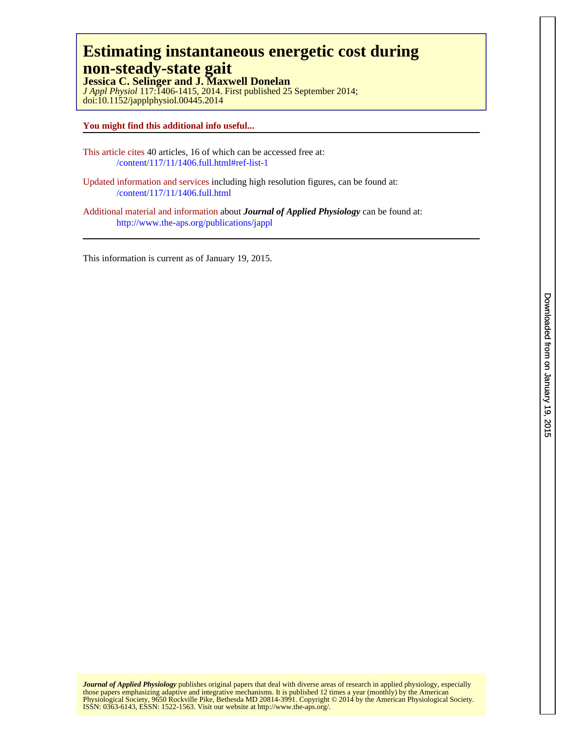# **non-steady-state gait Estimating instantaneous energetic cost during**

doi:10.1152/japplphysiol.00445.2014 *J Appl Physiol* 117:1406-1415, 2014. First published 25 September 2014; **Jessica C. Selinger and J. Maxwell Donelan**

# **You might find this additional info useful...**

- This article cites 40 articles, 16 of which can be accessed free at: /content/117/11/1406.full.html#ref-list-1
- Updated information and services including high resolution figures, can be found at: /content/117/11/1406.full.html
- Additional material and information about *Journal of Applied Physiology* can be found at: <http://www.the-aps.org/publications/jappl>

This information is current as of January 19, 2015.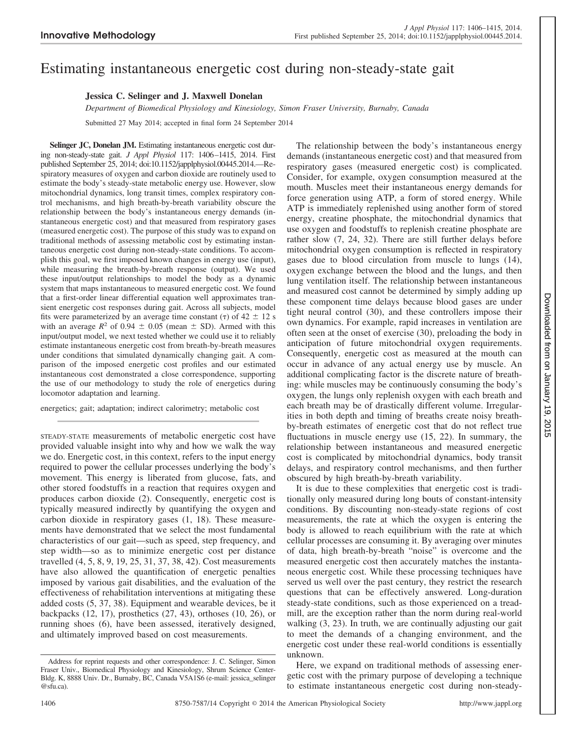# Estimating instantaneous energetic cost during non-steady-state gait

# **Jessica C. Selinger and J. Maxwell Donelan**

*Department of Biomedical Physiology and Kinesiology, Simon Fraser University, Burnaby, Canada*

Submitted 27 May 2014; accepted in final form 24 September 2014

Selinger JC, Donelan JM. Estimating instantaneous energetic cost during non-steady-state gait. *J Appl Physiol* 117: 1406–1415, 2014. First published September 25, 2014; doi:10.1152/japplphysiol.00445.2014.—Respiratory measures of oxygen and carbon dioxide are routinely used to estimate the body's steady-state metabolic energy use. However, slow mitochondrial dynamics, long transit times, complex respiratory control mechanisms, and high breath-by-breath variability obscure the relationship between the body's instantaneous energy demands (instantaneous energetic cost) and that measured from respiratory gases (measured energetic cost). The purpose of this study was to expand on traditional methods of assessing metabolic cost by estimating instantaneous energetic cost during non-steady-state conditions. To accomplish this goal, we first imposed known changes in energy use (input), while measuring the breath-by-breath response (output). We used these input/output relationships to model the body as a dynamic system that maps instantaneous to measured energetic cost. We found that a first-order linear differential equation well approximates transient energetic cost responses during gait. Across all subjects, model fits were parameterized by an average time constant  $(\tau)$  of 42  $\pm$  12 s with an average  $R^2$  of 0.94  $\pm$  0.05 (mean  $\pm$  SD). Armed with this input/output model, we next tested whether we could use it to reliably estimate instantaneous energetic cost from breath-by-breath measures under conditions that simulated dynamically changing gait. A comparison of the imposed energetic cost profiles and our estimated instantaneous cost demonstrated a close correspondence, supporting the use of our methodology to study the role of energetics during locomotor adaptation and learning.

energetics; gait; adaptation; indirect calorimetry; metabolic cost

STEADY-STATE measurements of metabolic energetic cost have provided valuable insight into why and how we walk the way we do. Energetic cost, in this context, refers to the input energy required to power the cellular processes underlying the body's movement. This energy is liberated from glucose, fats, and other stored foodstuffs in a reaction that requires oxygen and produces carbon dioxide (2). Consequently, energetic cost is typically measured indirectly by quantifying the oxygen and carbon dioxide in respiratory gases (1, 18). These measurements have demonstrated that we select the most fundamental characteristics of our gait—such as speed, step frequency, and step width—so as to minimize energetic cost per distance travelled (4, 5, 8, 9, 19, 25, 31, 37, 38, 42). Cost measurements have also allowed the quantification of energetic penalties imposed by various gait disabilities, and the evaluation of the effectiveness of rehabilitation interventions at mitigating these added costs (5, 37, 38). Equipment and wearable devices, be it backpacks (12, 17), prosthetics (27, 43), orthoses (10, 26), or running shoes (6), have been assessed, iteratively designed, and ultimately improved based on cost measurements.

The relationship between the body's instantaneous energy demands (instantaneous energetic cost) and that measured from respiratory gases (measured energetic cost) is complicated. Consider, for example, oxygen consumption measured at the mouth. Muscles meet their instantaneous energy demands for force generation using ATP, a form of stored energy. While ATP is immediately replenished using another form of stored energy, creatine phosphate, the mitochondrial dynamics that use oxygen and foodstuffs to replenish creatine phosphate are rather slow (7, 24, 32). There are still further delays before mitochondrial oxygen consumption is reflected in respiratory gases due to blood circulation from muscle to lungs (14), oxygen exchange between the blood and the lungs, and then lung ventilation itself. The relationship between instantaneous and measured cost cannot be determined by simply adding up these component time delays because blood gases are under tight neural control (30), and these controllers impose their own dynamics. For example, rapid increases in ventilation are often seen at the onset of exercise (30), preloading the body in anticipation of future mitochondrial oxygen requirements. Consequently, energetic cost as measured at the mouth can occur in advance of any actual energy use by muscle. An additional complicating factor is the discrete nature of breathing: while muscles may be continuously consuming the body's oxygen, the lungs only replenish oxygen with each breath and each breath may be of drastically different volume. Irregularities in both depth and timing of breaths create noisy breathby-breath estimates of energetic cost that do not reflect true fluctuations in muscle energy use (15, 22). In summary, the relationship between instantaneous and measured energetic cost is complicated by mitochondrial dynamics, body transit delays, and respiratory control mechanisms, and then further obscured by high breath-by-breath variability.

It is due to these complexities that energetic cost is traditionally only measured during long bouts of constant-intensity conditions. By discounting non-steady-state regions of cost measurements, the rate at which the oxygen is entering the body is allowed to reach equilibrium with the rate at which cellular processes are consuming it. By averaging over minutes of data, high breath-by-breath "noise" is overcome and the measured energetic cost then accurately matches the instantaneous energetic cost. While these processing techniques have served us well over the past century, they restrict the research questions that can be effectively answered. Long-duration steady-state conditions, such as those experienced on a treadmill, are the exception rather than the norm during real-world walking  $(3, 23)$ . In truth, we are continually adjusting our gait to meet the demands of a changing environment, and the energetic cost under these real-world conditions is essentially unknown.

Here, we expand on traditional methods of assessing energetic cost with the primary purpose of developing a technique to estimate instantaneous energetic cost during non-steady-

Address for reprint requests and other correspondence: J. C. Selinger, Simon Fraser Univ., Biomedical Physiology and Kinesiology, Shrum Science Center-Bldg. K, 8888 Univ. Dr., Burnaby, BC, Canada V5A1S6 (e-mail: [jessica\\_selinger](mailto:jessica_selinger@sfu.ca) [@sfu.ca\)](mailto:jessica_selinger@sfu.ca).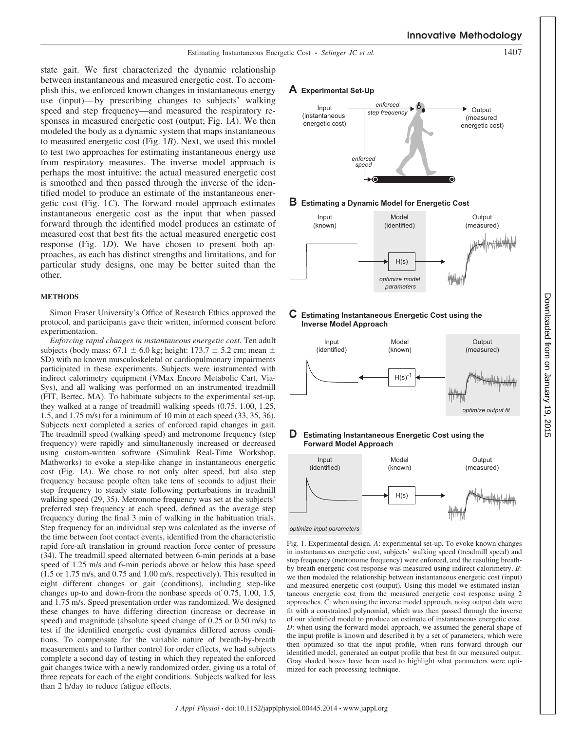Estimating Instantaneous Energetic Cost • *Selinger JC et al.* 1407

state gait. We first characterized the dynamic relationship between instantaneous and measured energetic cost. To accomplish this, we enforced known changes in instantaneous energy use (input)— by prescribing changes to subjects' walking speed and step frequency—and measured the respiratory responses in measured energetic cost (output; Fig. 1*A*). We then modeled the body as a dynamic system that maps instantaneous to measured energetic cost (Fig. 1*B*). Next, we used this model to test two approaches for estimating instantaneous energy use from respiratory measures. The inverse model approach is perhaps the most intuitive: the actual measured energetic cost is smoothed and then passed through the inverse of the identified model to produce an estimate of the instantaneous energetic cost (Fig. 1*C*). The forward model approach estimates instantaneous energetic cost as the input that when passed forward through the identified model produces an estimate of measured cost that best fits the actual measured energetic cost response (Fig. 1*D*). We have chosen to present both approaches, as each has distinct strengths and limitations, and for particular study designs, one may be better suited than the other.

## **METHODS**

Simon Fraser University's Office of Research Ethics approved the protocol, and participants gave their written, informed consent before experimentation.

*Enforcing rapid changes in instantaneous energetic cost.* Ten adult subjects (body mass:  $67.1 \pm 6.0$  kg; height:  $173.7 \pm 5.2$  cm; mean  $\pm$ SD) with no known musculoskeletal or cardiopulmonary impairments participated in these experiments. Subjects were instrumented with indirect calorimetry equipment (VMax Encore Metabolic Cart, Via-Sys), and all walking was performed on an instrumented treadmill (FIT, Bertec, MA). To habituate subjects to the experimental set-up, they walked at a range of treadmill walking speeds (0.75, 1.00, 1.25, 1.5, and 1.75 m/s) for a minimum of 10 min at each speed (33, 35, 36). Subjects next completed a series of enforced rapid changes in gait. The treadmill speed (walking speed) and metronome frequency (step frequency) were rapidly and simultaneously increased or decreased using custom-written software (Simulink Real-Time Workshop, Mathworks) to evoke a step-like change in instantaneous energetic cost (Fig. 1*A*). We chose to not only alter speed, but also step frequency because people often take tens of seconds to adjust their step frequency to steady state following perturbations in treadmill walking speed (29, 35). Metronome frequency was set at the subjects' preferred step frequency at each speed, defined as the average step frequency during the final 3 min of walking in the habituation trials. Step frequency for an individual step was calculated as the inverse of the time between foot contact events, identified from the characteristic rapid fore-aft translation in ground reaction force center of pressure (34). The treadmill speed alternated between 6-min periods at a base speed of 1.25 m/s and 6-min periods above or below this base speed (1.5 or 1.75 m/s, and 0.75 and 1.00 m/s, respectively). This resulted in eight different changes or gait (conditions), including step-like changes up-to and down-from the nonbase speeds of 0.75, 1.00, 1.5, and 1.75 m/s. Speed presentation order was randomized. We designed these changes to have differing direction (increase or decrease in speed) and magnitude (absolute speed change of 0.25 or 0.50 m/s) to test if the identified energetic cost dynamics differed across conditions. To compensate for the variable nature of breath-by-breath measurements and to further control for order effects, we had subjects complete a second day of testing in which they repeated the enforced gait changes twice with a newly randomized order, giving us a total of three repeats for each of the eight conditions. Subjects walked for less than 2 h/day to reduce fatigue effects.

**A Experimental Set-Up**











## **D Estimating Instantaneous Energetic Cost using the Forward Model Approach**



*optimize input parameters*

Fig. 1. Experimental design. *A*: experimental set-up. To evoke known changes in instantaneous energetic cost, subjects' walking speed (treadmill speed) and step frequency (metronome frequency) were enforced, and the resulting breathby-breath energetic cost response was measured using indirect calorimetry. *B*: we then modeled the relationship between instantaneous energetic cost (input) and measured energetic cost (output). Using this model we estimated instantaneous energetic cost from the measured energetic cost response using 2 approaches. *C*: when using the inverse model approach, noisy output data were fit with a constrained polynomial, which was then passed through the inverse of our identified model to produce an estimate of instantaneous energetic cost. *D*: when using the forward model approach, we assumed the general shape of the input profile is known and described it by a set of parameters, which were then optimized so that the input profile, when runs forward through our identified model, generated an output profile that best fit our measured output. Gray shaded boxes have been used to highlight what parameters were optimized for each processing technique.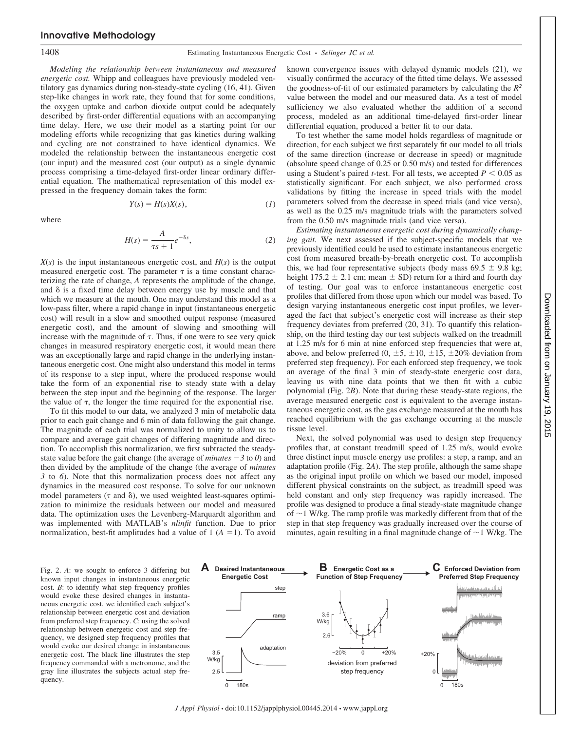*Modeling the relationship between instantaneous and measured energetic cost.* Whipp and colleagues have previously modeled ventilatory gas dynamics during non-steady-state cycling (16, 41). Given step-like changes in work rate, they found that for some conditions, the oxygen uptake and carbon dioxide output could be adequately described by first-order differential equations with an accompanying time delay. Here, we use their model as a starting point for our modeling efforts while recognizing that gas kinetics during walking and cycling are not constrained to have identical dynamics. We modeled the relationship between the instantaneous energetic cost (our input) and the measured cost (our output) as a single dynamic process comprising a time-delayed first-order linear ordinary differential equation. The mathematical representation of this model expressed in the frequency domain takes the form:

$$
Y(s) = H(s)X(s),\tag{1}
$$

where

$$
H(s) = \frac{A}{\tau s + 1} e^{-\delta s},\tag{2}
$$

 $X(s)$  is the input instantaneous energetic cost, and  $H(s)$  is the output measured energetic cost. The parameter  $\tau$  is a time constant characterizing the rate of change, *A* represents the amplitude of the change, and  $\delta$  is a fixed time delay between energy use by muscle and that which we measure at the mouth. One may understand this model as a low-pass filter, where a rapid change in input (instantaneous energetic cost) will result in a slow and smoothed output response (measured energetic cost), and the amount of slowing and smoothing will increase with the magnitude of  $\tau$ . Thus, if one were to see very quick changes in measured respiratory energetic cost, it would mean there was an exceptionally large and rapid change in the underlying instantaneous energetic cost. One might also understand this model in terms of its response to a step input, where the produced response would take the form of an exponential rise to steady state with a delay between the step input and the beginning of the response. The larger the value of  $\tau$ , the longer the time required for the exponential rise.

To fit this model to our data, we analyzed 3 min of metabolic data prior to each gait change and 6 min of data following the gait change. The magnitude of each trial was normalized to unity to allow us to compare and average gait changes of differing magnitude and direction. To accomplish this normalization, we first subtracted the steadystate value before the gait change (the average of *minutes*  $-3$  to *0*) and then divided by the amplitude of the change (the average of *minutes 3* to *6*). Note that this normalization process does not affect any dynamics in the measured cost response. To solve for our unknown model parameters  $(\tau$  and  $\delta)$ , we used weighted least-squares optimization to minimize the residuals between our model and measured data. The optimization uses the Levenberg-Marquardt algorithm and was implemented with MATLAB's *nlinfit* function. Due to prior normalization, best-fit amplitudes had a value of  $1(A = 1)$ . To avoid

known convergence issues with delayed dynamic models (21), we visually confirmed the accuracy of the fitted time delays. We assessed the goodness-of-fit of our estimated parameters by calculating the *R2* value between the model and our measured data. As a test of model sufficiency we also evaluated whether the addition of a second process, modeled as an additional time-delayed first-order linear differential equation, produced a better fit to our data.

To test whether the same model holds regardless of magnitude or direction, for each subject we first separately fit our model to all trials of the same direction (increase or decrease in speed) or magnitude (absolute speed change of 0.25 or 0.50 m/s) and tested for differences using a Student's paired *t*-test. For all tests, we accepted  $P < 0.05$  as statistically significant. For each subject, we also performed cross validations by fitting the increase in speed trials with the model parameters solved from the decrease in speed trials (and vice versa), as well as the 0.25 m/s magnitude trials with the parameters solved from the 0.50 m/s magnitude trials (and vice versa).

*Estimating instantaneous energetic cost during dynamically changing gait.* We next assessed if the subject-specific models that we previously identified could be used to estimate instantaneous energetic cost from measured breath-by-breath energetic cost. To accomplish this, we had four representative subjects (body mass  $69.5 \pm 9.8$  kg; height 175.2  $\pm$  2.1 cm; mean  $\pm$  SD) return for a third and fourth day of testing. Our goal was to enforce instantaneous energetic cost profiles that differed from those upon which our model was based. To design varying instantaneous energetic cost input profiles, we leveraged the fact that subject's energetic cost will increase as their step frequency deviates from preferred (20, 31). To quantify this relationship, on the third testing day our test subjects walked on the treadmill at 1.25 m/s for 6 min at nine enforced step frequencies that were at, above, and below preferred  $(0, \pm 5, \pm 10, \pm 15, \pm 20\%$  deviation from preferred step frequency). For each enforced step frequency, we took an average of the final 3 min of steady-state energetic cost data, leaving us with nine data points that we then fit with a cubic polynomial (Fig. 2*B*). Note that during these steady-state regions, the average measured energetic cost is equivalent to the average instantaneous energetic cost, as the gas exchange measured at the mouth has reached equilibrium with the gas exchange occurring at the muscle tissue level.

Next, the solved polynomial was used to design step frequency profiles that, at constant treadmill speed of 1.25 m/s, would evoke three distinct input muscle energy use profiles: a step, a ramp, and an adaptation profile (Fig. 2*A*). The step profile, although the same shape as the original input profile on which we based our model, imposed different physical constraints on the subject, as treadmill speed was held constant and only step frequency was rapidly increased. The profile was designed to produce a final steady-state magnitude change of  $\sim$  1 W/kg. The ramp profile was markedly different from that of the step in that step frequency was gradually increased over the course of minutes, again resulting in a final magnitude change of  $\sim$  1 W/kg. The

Fig. 2. *A*: we sought to enforce 3 differing but known input changes in instantaneous energetic cost. *B*: to identify what step frequency profiles would evoke these desired changes in instantaneous energetic cost, we identified each subject's relationship between energetic cost and deviation from preferred step frequency. *C*: using the solved relationship between energetic cost and step frequency, we designed step frequency profiles that would evoke our desired change in instantaneous energetic cost. The black line illustrates the step frequency commanded with a metronome, and the gray line illustrates the subjects actual step frequency.

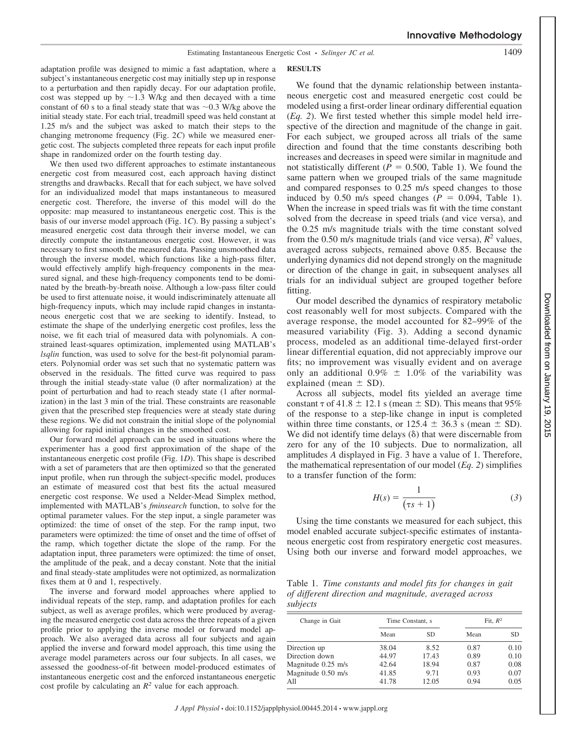### **RESULTS**

adaptation profile was designed to mimic a fast adaptation, where a subject's instantaneous energetic cost may initially step up in response to a perturbation and then rapidly decay. For our adaptation profile, cost was stepped up by  $\sim$  1.3 W/kg and then decayed with a time constant of 60 s to a final steady state that was  $\sim$  0.3 W/kg above the initial steady state. For each trial, treadmill speed was held constant at 1.25 m/s and the subject was asked to match their steps to the changing metronome frequency (Fig. 2*C*) while we measured energetic cost. The subjects completed three repeats for each input profile shape in randomized order on the fourth testing day.

We then used two different approaches to estimate instantaneous energetic cost from measured cost, each approach having distinct strengths and drawbacks. Recall that for each subject, we have solved for an individualized model that maps instantaneous to measured energetic cost. Therefore, the inverse of this model will do the opposite: map measured to instantaneous energetic cost. This is the basis of our inverse model approach (Fig. 1*C*). By passing a subject's measured energetic cost data through their inverse model, we can directly compute the instantaneous energetic cost. However, it was necessary to first smooth the measured data. Passing unsmoothed data through the inverse model, which functions like a high-pass filter, would effectively amplify high-frequency components in the measured signal, and these high-frequency components tend to be dominated by the breath-by-breath noise. Although a low-pass filter could be used to first attenuate noise, it would indiscriminately attenuate all high-frequency inputs, which may include rapid changes in instantaneous energetic cost that we are seeking to identify. Instead, to estimate the shape of the underlying energetic cost profiles, less the noise, we fit each trial of measured data with polynomials. A constrained least-squares optimization, implemented using MATLAB's *lsqlin* function, was used to solve for the best-fit polynomial parameters. Polynomial order was set such that no systematic pattern was observed in the residuals. The fitted curve was required to pass through the initial steady-state value (0 after normalization) at the point of perturbation and had to reach steady state (1 after normalization) in the last 3 min of the trial. These constraints are reasonable given that the prescribed step frequencies were at steady state during these regions. We did not constrain the initial slope of the polynomial allowing for rapid initial changes in the smoothed cost.

Our forward model approach can be used in situations where the experimenter has a good first approximation of the shape of the instantaneous energetic cost profile (Fig. 1*D*). This shape is described with a set of parameters that are then optimized so that the generated input profile, when run through the subject-specific model, produces an estimate of measured cost that best fits the actual measured energetic cost response. We used a Nelder-Mead Simplex method, implemented with MATLAB's *fminsearch* function, to solve for the optimal parameter values. For the step input, a single parameter was optimized: the time of onset of the step. For the ramp input, two parameters were optimized: the time of onset and the time of offset of the ramp, which together dictate the slope of the ramp. For the adaptation input, three parameters were optimized: the time of onset, the amplitude of the peak, and a decay constant. Note that the initial and final steady-state amplitudes were not optimized, as normalization fixes them at 0 and 1, respectively.

The inverse and forward model approaches where applied to individual repeats of the step, ramp, and adaptation profiles for each subject, as well as average profiles, which were produced by averaging the measured energetic cost data across the three repeats of a given profile prior to applying the inverse model or forward model approach. We also averaged data across all four subjects and again applied the inverse and forward model approach, this time using the average model parameters across our four subjects. In all cases, we assessed the goodness-of-fit between model-produced estimates of instantaneous energetic cost and the enforced instantaneous energetic cost profile by calculating an  $R^2$  value for each approach.

We found that the dynamic relationship between instantaneous energetic cost and measured energetic cost could be modeled using a first-order linear ordinary differential equation (*Eq. 2*). We first tested whether this simple model held irrespective of the direction and magnitude of the change in gait. For each subject, we grouped across all trials of the same direction and found that the time constants describing both increases and decreases in speed were similar in magnitude and not statistically different ( $P = 0.500$ , Table 1). We found the same pattern when we grouped trials of the same magnitude and compared responses to 0.25 m/s speed changes to those induced by 0.50 m/s speed changes  $(P = 0.094,$  Table 1). When the increase in speed trials was fit with the time constant solved from the decrease in speed trials (and vice versa), and the 0.25 m/s magnitude trials with the time constant solved from the 0.50 m/s magnitude trials (and vice versa),  $R^2$  values, averaged across subjects, remained above 0.85. Because the underlying dynamics did not depend strongly on the magnitude or direction of the change in gait, in subsequent analyses all trials for an individual subject are grouped together before fitting.

Our model described the dynamics of respiratory metabolic cost reasonably well for most subjects. Compared with the average response, the model accounted for 82–99% of the measured variability (Fig. 3). Adding a second dynamic process, modeled as an additional time-delayed first-order linear differential equation, did not appreciably improve our fits; no improvement was visually evident and on average only an additional  $0.9\% \pm 1.0\%$  of the variability was explained (mean  $\pm$  SD).

Across all subjects, model fits yielded an average time constant  $\tau$  of 41.8  $\pm$  12.1 s (mean  $\pm$  SD). This means that 95% of the response to a step-like change in input is completed within three time constants, or  $125.4 \pm 36.3$  s (mean  $\pm$  SD). We did not identify time delays  $(\delta)$  that were discernable from zero for any of the 10 subjects. Due to normalization, all amplitudes *A* displayed in Fig. 3 have a value of 1. Therefore, the mathematical representation of our model (*Eq. 2*) simplifies to a transfer function of the form:

$$
H(s) = \frac{1}{(\tau s + 1)}\tag{3}
$$

Using the time constants we measured for each subject, this model enabled accurate subject-specific estimates of instantaneous energetic cost from respiratory energetic cost measures. Using both our inverse and forward model approaches, we

Table 1. *Time constants and model fits for changes in gait of different direction and magnitude, averaged across subjects*

| Change in Gait     |       | Time Constant, s | Fit. $R^2$ |           |
|--------------------|-------|------------------|------------|-----------|
|                    | Mean  | <b>SD</b>        | Mean       | <b>SD</b> |
| Direction up       | 38.04 | 8.52             | 0.87       | 0.10      |
| Direction down     | 44.97 | 17.43            | 0.89       | 0.10      |
| Magnitude 0.25 m/s | 42.64 | 18.94            | 0.87       | 0.08      |
| Magnitude 0.50 m/s | 41.85 | 9.71             | 0.93       | 0.07      |
| All                | 41.78 | 12.05            | 0.94       | 0.05      |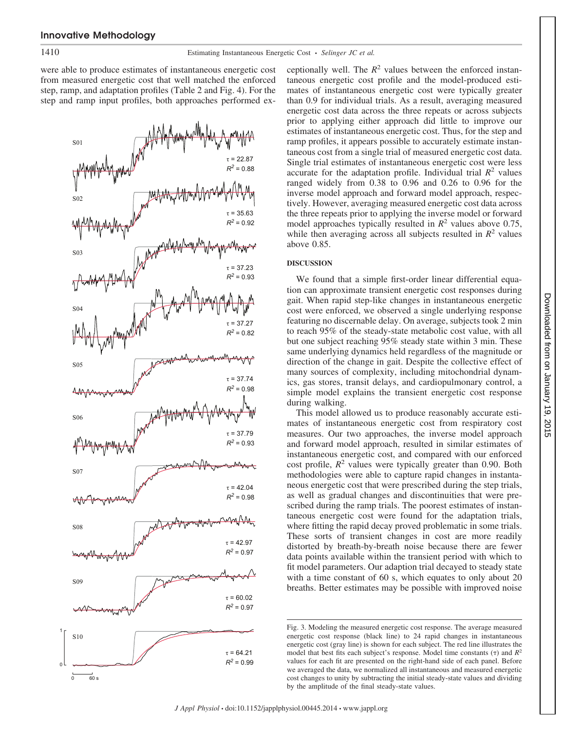were able to produce estimates of instantaneous energetic cost from measured energetic cost that well matched the enforced step, ramp, and adaptation profiles (Table 2 and Fig. 4). For the step and ramp input profiles, both approaches performed ex-



ceptionally well. The  $R^2$  values between the enforced instantaneous energetic cost profile and the model-produced estimates of instantaneous energetic cost were typically greater than 0.9 for individual trials. As a result, averaging measured energetic cost data across the three repeats or across subjects prior to applying either approach did little to improve our estimates of instantaneous energetic cost. Thus, for the step and ramp profiles, it appears possible to accurately estimate instantaneous cost from a single trial of measured energetic cost data. Single trial estimates of instantaneous energetic cost were less accurate for the adaptation profile. Individual trial  $R^2$  values ranged widely from 0.38 to 0.96 and 0.26 to 0.96 for the inverse model approach and forward model approach, respectively. However, averaging measured energetic cost data across the three repeats prior to applying the inverse model or forward model approaches typically resulted in  $R^2$  values above 0.75, while then averaging across all subjects resulted in  $R<sup>2</sup>$  values above 0.85.

# **DISCUSSION**

We found that a simple first-order linear differential equation can approximate transient energetic cost responses during gait. When rapid step-like changes in instantaneous energetic cost were enforced, we observed a single underlying response featuring no discernable delay. On average, subjects took 2 min to reach 95% of the steady-state metabolic cost value, with all but one subject reaching 95% steady state within 3 min. These same underlying dynamics held regardless of the magnitude or direction of the change in gait. Despite the collective effect of many sources of complexity, including mitochondrial dynamics, gas stores, transit delays, and cardiopulmonary control, a simple model explains the transient energetic cost response during walking.

This model allowed us to produce reasonably accurate estimates of instantaneous energetic cost from respiratory cost measures. Our two approaches, the inverse model approach and forward model approach, resulted in similar estimates of instantaneous energetic cost, and compared with our enforced cost profile,  $R^2$  values were typically greater than 0.90. Both methodologies were able to capture rapid changes in instantaneous energetic cost that were prescribed during the step trials, as well as gradual changes and discontinuities that were prescribed during the ramp trials. The poorest estimates of instantaneous energetic cost were found for the adaptation trials, where fitting the rapid decay proved problematic in some trials. These sorts of transient changes in cost are more readily distorted by breath-by-breath noise because there are fewer data points available within the transient period with which to fit model parameters. Our adaption trial decayed to steady state with a time constant of 60 s, which equates to only about 20 breaths. Better estimates may be possible with improved noise

Fig. 3. Modeling the measured energetic cost response. The average measured energetic cost response (black line) to 24 rapid changes in instantaneous energetic cost (gray line) is shown for each subject. The red line illustrates the model that best fits each subject's response. Model time constants  $(\tau)$  and  $R^2$ values for each fit are presented on the right-hand side of each panel. Before we averaged the data, we normalized all instantaneous and measured energetic cost changes to unity by subtracting the initial steady-state values and dividing by the amplitude of the final steady-state values.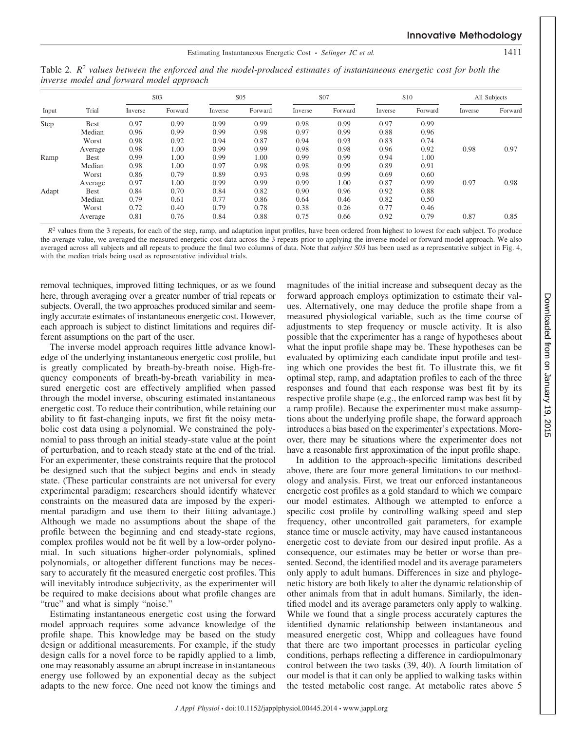| Input | Trial       | S <sub>0</sub> 3 |         | S <sub>05</sub> |         | <b>S07</b> |         | <b>S10</b> |         | All Subjects |         |
|-------|-------------|------------------|---------|-----------------|---------|------------|---------|------------|---------|--------------|---------|
|       |             | Inverse          | Forward | Inverse         | Forward | Inverse    | Forward | Inverse    | Forward | Inverse      | Forward |
| Step  | <b>Best</b> | 0.97             | 0.99    | 0.99            | 0.99    | 0.98       | 0.99    | 0.97       | 0.99    |              |         |
|       | Median      | 0.96             | 0.99    | 0.99            | 0.98    | 0.97       | 0.99    | 0.88       | 0.96    |              |         |
|       | Worst       | 0.98             | 0.92    | 0.94            | 0.87    | 0.94       | 0.93    | 0.83       | 0.74    |              |         |
|       | Average     | 0.98             | 1.00    | 0.99            | 0.99    | 0.98       | 0.98    | 0.96       | 0.92    | 0.98         | 0.97    |
| Ramp  | <b>Best</b> | 0.99             | 1.00    | 0.99            | 1.00    | 0.99       | 0.99    | 0.94       | 1.00    |              |         |
|       | Median      | 0.98             | 1.00    | 0.97            | 0.98    | 0.98       | 0.99    | 0.89       | 0.91    |              |         |
|       | Worst       | 0.86             | 0.79    | 0.89            | 0.93    | 0.98       | 0.99    | 0.69       | 0.60    |              |         |
|       | Average     | 0.97             | 1.00    | 0.99            | 0.99    | 0.99       | 1.00    | 0.87       | 0.99    | 0.97         | 0.98    |
| Adapt | <b>Best</b> | 0.84             | 0.70    | 0.84            | 0.82    | 0.90       | 0.96    | 0.92       | 0.88    |              |         |
|       | Median      | 0.79             | 0.61    | 0.77            | 0.86    | 0.64       | 0.46    | 0.82       | 0.50    |              |         |
|       | Worst       | 0.72             | 0.40    | 0.79            | 0.78    | 0.38       | 0.26    | 0.77       | 0.46    |              |         |
|       | Average     | 0.81             | 0.76    | 0.84            | 0.88    | 0.75       | 0.66    | 0.92       | 0.79    | 0.87         | 0.85    |

Table 2. *R<sup>2</sup> values between the enforced and the model-produced estimates of instantaneous energetic cost for both the inverse model and forward model approach*

 $R<sup>2</sup>$  values from the 3 repeats, for each of the step, ramp, and adaptation input profiles, have been ordered from highest to lowest for each subject. To produce the average value, we averaged the measured energetic cost data across the 3 repeats prior to applying the inverse model or forward model approach. We also averaged across all subjects and all repeats to produce the final two columns of data. Note that *subject S03* has been used as a representative subject in Fig. 4, with the median trials being used as representative individual trials.

removal techniques, improved fitting techniques, or as we found here, through averaging over a greater number of trial repeats or subjects. Overall, the two approaches produced similar and seemingly accurate estimates of instantaneous energetic cost. However, each approach is subject to distinct limitations and requires different assumptions on the part of the user.

The inverse model approach requires little advance knowledge of the underlying instantaneous energetic cost profile, but is greatly complicated by breath-by-breath noise. High-frequency components of breath-by-breath variability in measured energetic cost are effectively amplified when passed through the model inverse, obscuring estimated instantaneous energetic cost. To reduce their contribution, while retaining our ability to fit fast-changing inputs, we first fit the noisy metabolic cost data using a polynomial. We constrained the polynomial to pass through an initial steady-state value at the point of perturbation, and to reach steady state at the end of the trial. For an experimenter, these constraints require that the protocol be designed such that the subject begins and ends in steady state. (These particular constraints are not universal for every experimental paradigm; researchers should identify whatever constraints on the measured data are imposed by the experimental paradigm and use them to their fitting advantage.) Although we made no assumptions about the shape of the profile between the beginning and end steady-state regions, complex profiles would not be fit well by a low-order polynomial. In such situations higher-order polynomials, splined polynomials, or altogether different functions may be necessary to accurately fit the measured energetic cost profiles. This will inevitably introduce subjectivity, as the experimenter will be required to make decisions about what profile changes are "true" and what is simply "noise."

Estimating instantaneous energetic cost using the forward model approach requires some advance knowledge of the profile shape. This knowledge may be based on the study design or additional measurements. For example, if the study design calls for a novel force to be rapidly applied to a limb, one may reasonably assume an abrupt increase in instantaneous energy use followed by an exponential decay as the subject adapts to the new force. One need not know the timings and

magnitudes of the initial increase and subsequent decay as the forward approach employs optimization to estimate their values. Alternatively, one may deduce the profile shape from a measured physiological variable, such as the time course of adjustments to step frequency or muscle activity. It is also possible that the experimenter has a range of hypotheses about what the input profile shape may be. These hypotheses can be evaluated by optimizing each candidate input profile and testing which one provides the best fit. To illustrate this, we fit optimal step, ramp, and adaptation profiles to each of the three responses and found that each response was best fit by its respective profile shape (e.g., the enforced ramp was best fit by a ramp profile). Because the experimenter must make assumptions about the underlying profile shape, the forward approach introduces a bias based on the experimenter's expectations. Moreover, there may be situations where the experimenter does not have a reasonable first approximation of the input profile shape.

In addition to the approach-specific limitations described above, there are four more general limitations to our methodology and analysis. First, we treat our enforced instantaneous energetic cost profiles as a gold standard to which we compare our model estimates. Although we attempted to enforce a specific cost profile by controlling walking speed and step frequency, other uncontrolled gait parameters, for example stance time or muscle activity, may have caused instantaneous energetic cost to deviate from our desired input profile. As a consequence, our estimates may be better or worse than presented. Second, the identified model and its average parameters only apply to adult humans. Differences in size and phylogenetic history are both likely to alter the dynamic relationship of other animals from that in adult humans. Similarly, the identified model and its average parameters only apply to walking. While we found that a single process accurately captures the identified dynamic relationship between instantaneous and measured energetic cost, Whipp and colleagues have found that there are two important processes in particular cycling conditions, perhaps reflecting a difference in cardiopulmonary control between the two tasks (39, 40). A fourth limitation of our model is that it can only be applied to walking tasks within the tested metabolic cost range. At metabolic rates above 5

Downloaded from on January

 $-10$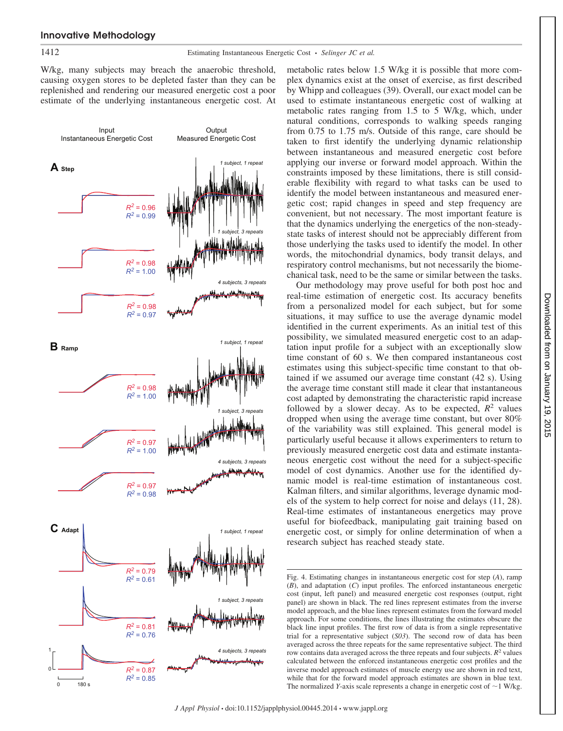W/kg, many subjects may breach the anaerobic threshold, causing oxygen stores to be depleted faster than they can be replenished and rendering our measured energetic cost a poor estimate of the underlying instantaneous energetic cost. At



metabolic rates below 1.5 W/kg it is possible that more complex dynamics exist at the onset of exercise, as first described by Whipp and colleagues (39). Overall, our exact model can be used to estimate instantaneous energetic cost of walking at metabolic rates ranging from 1.5 to 5 W/kg, which, under natural conditions, corresponds to walking speeds ranging from 0.75 to 1.75 m/s. Outside of this range, care should be taken to first identify the underlying dynamic relationship between instantaneous and measured energetic cost before applying our inverse or forward model approach. Within the constraints imposed by these limitations, there is still considerable flexibility with regard to what tasks can be used to identify the model between instantaneous and measured energetic cost; rapid changes in speed and step frequency are convenient, but not necessary. The most important feature is that the dynamics underlying the energetics of the non-steadystate tasks of interest should not be appreciably different from those underlying the tasks used to identify the model. In other words, the mitochondrial dynamics, body transit delays, and respiratory control mechanisms, but not necessarily the biomechanical task, need to be the same or similar between the tasks.

Our methodology may prove useful for both post hoc and real-time estimation of energetic cost. Its accuracy benefits from a personalized model for each subject, but for some situations, it may suffice to use the average dynamic model identified in the current experiments. As an initial test of this possibility, we simulated measured energetic cost to an adaptation input profile for a subject with an exceptionally slow time constant of 60 s. We then compared instantaneous cost estimates using this subject-specific time constant to that obtained if we assumed our average time constant (42 s). Using the average time constant still made it clear that instantaneous cost adapted by demonstrating the characteristic rapid increase followed by a slower decay. As to be expected,  $R^2$  values dropped when using the average time constant, but over 80% of the variability was still explained. This general model is particularly useful because it allows experimenters to return to previously measured energetic cost data and estimate instantaneous energetic cost without the need for a subject-specific model of cost dynamics. Another use for the identified dynamic model is real-time estimation of instantaneous cost. Kalman filters, and similar algorithms, leverage dynamic models of the system to help correct for noise and delays (11, 28). Real-time estimates of instantaneous energetics may prove useful for biofeedback, manipulating gait training based on energetic cost, or simply for online determination of when a research subject has reached steady state.

Fig. 4. Estimating changes in instantaneous energetic cost for step (*A*), ramp (*B*), and adaptation (*C*) input profiles. The enforced instantaneous energetic cost (input, left panel) and measured energetic cost responses (output, right panel) are shown in black. The red lines represent estimates from the inverse model approach, and the blue lines represent estimates from the forward model approach. For some conditions, the lines illustrating the estimates obscure the black line input profiles. The first row of data is from a single representative trial for a representative subject (*S03*). The second row of data has been averaged across the three repeats for the same representative subject. The third row contains data averaged across the three repeats and four subjects.  $R^2$  values calculated between the enforced instantaneous energetic cost profiles and the inverse model approach estimates of muscle energy use are shown in red text, while that for the forward model approach estimates are shown in blue text. The normalized *Y*-axis scale represents a change in energetic cost of  $\sim$  1 W/kg.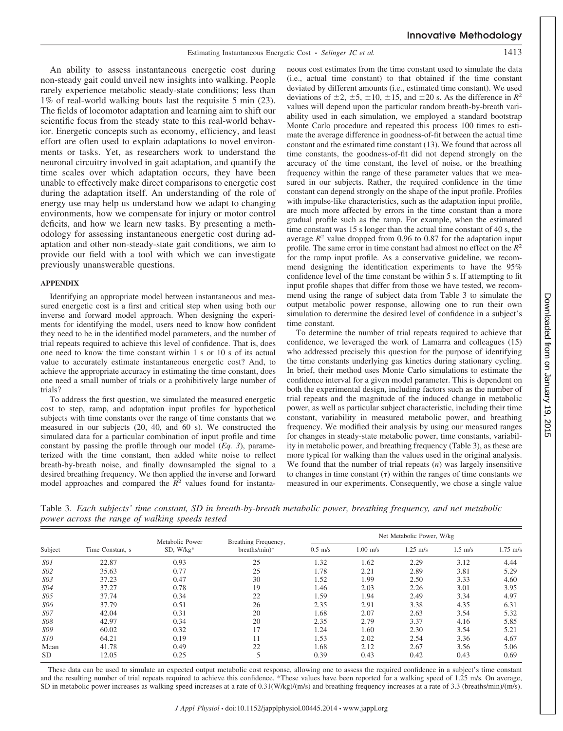# **Innovative Methodology**

An ability to assess instantaneous energetic cost during non-steady gait could unveil new insights into walking. People rarely experience metabolic steady-state conditions; less than 1% of real-world walking bouts last the requisite 5 min (23). The fields of locomotor adaptation and learning aim to shift our scientific focus from the steady state to this real-world behavior. Energetic concepts such as economy, efficiency, and least effort are often used to explain adaptations to novel environments or tasks. Yet, as researchers work to understand the neuronal circuitry involved in gait adaptation, and quantify the time scales over which adaptation occurs, they have been unable to effectively make direct comparisons to energetic cost during the adaptation itself. An understanding of the role of energy use may help us understand how we adapt to changing environments, how we compensate for injury or motor control deficits, and how we learn new tasks. By presenting a methodology for assessing instantaneous energetic cost during adaptation and other non-steady-state gait conditions, we aim to provide our field with a tool with which we can investigate previously unanswerable questions.

# **APPENDIX**

Identifying an appropriate model between instantaneous and measured energetic cost is a first and critical step when using both our inverse and forward model approach. When designing the experiments for identifying the model, users need to know how confident they need to be in the identified model parameters, and the number of trial repeats required to achieve this level of confidence. That is, does one need to know the time constant within 1 s or 10 s of its actual value to accurately estimate instantaneous energetic cost? And, to achieve the appropriate accuracy in estimating the time constant, does one need a small number of trials or a prohibitively large number of trials?

To address the first question, we simulated the measured energetic cost to step, ramp, and adaptation input profiles for hypothetical subjects with time constants over the range of time constants that we measured in our subjects (20, 40, and 60 s). We constructed the simulated data for a particular combination of input profile and time constant by passing the profile through our model (*Eq. 3*), parameterized with the time constant, then added white noise to reflect breath-by-breath noise, and finally downsampled the signal to a desired breathing frequency. We then applied the inverse and forward model approaches and compared the  $\overline{R}^2$  values found for instantaneous cost estimates from the time constant used to simulate the data (i.e., actual time constant) to that obtained if the time constant deviated by different amounts (i.e., estimated time constant). We used deviations of  $\pm 2$ ,  $\pm 5$ ,  $\pm 10$ ,  $\pm 15$ , and  $\pm 20$  s. As the difference in  $R^2$ values will depend upon the particular random breath-by-breath variability used in each simulation, we employed a standard bootstrap Monte Carlo procedure and repeated this process 100 times to estimate the average difference in goodness-of-fit between the actual time constant and the estimated time constant (13). We found that across all time constants, the goodness-of-fit did not depend strongly on the accuracy of the time constant, the level of noise, or the breathing frequency within the range of these parameter values that we measured in our subjects. Rather, the required confidence in the time constant can depend strongly on the shape of the input profile. Profiles with impulse-like characteristics, such as the adaptation input profile, are much more affected by errors in the time constant than a more gradual profile such as the ramp. For example, when the estimated time constant was 15 s longer than the actual time constant of 40 s, the average  $R^2$  value dropped from 0.96 to 0.87 for the adaptation input profile. The same error in time constant had almost no effect on the *R*<sup>2</sup> for the ramp input profile. As a conservative guideline, we recommend designing the identification experiments to have the 95% confidence level of the time constant be within 5 s. If attempting to fit input profile shapes that differ from those we have tested, we recommend using the range of subject data from Table 3 to simulate the output metabolic power response, allowing one to run their own simulation to determine the desired level of confidence in a subject's time constant.

To determine the number of trial repeats required to achieve that confidence, we leveraged the work of Lamarra and colleagues (15) who addressed precisely this question for the purpose of identifying the time constants underlying gas kinetics during stationary cycling. In brief, their method uses Monte Carlo simulations to estimate the confidence interval for a given model parameter. This is dependent on both the experimental design, including factors such as the number of trial repeats and the magnitude of the induced change in metabolic power, as well as particular subject characteristic, including their time constant, variability in measured metabolic power, and breathing frequency. We modified their analysis by using our measured ranges for changes in steady-state metabolic power, time constants, variability in metabolic power, and breathing frequency (Table 3), as these are more typical for walking than the values used in the original analysis. We found that the number of trial repeats (*n*) was largely insensitive to changes in time constant  $(τ)$  within the ranges of time constants we measured in our experiments. Consequently, we chose a single value

Table 3. *Each subjects' time constant, SD in breath-by-breath metabolic power, breathing frequency, and net metabolic power across the range of walking speeds tested*

|                        | Time Constant, s | Metabolic Power<br>$SD$ , $W/kg*$ | Breathing Frequency,<br>breaths/min)* | Net Metabolic Power, W/kg |            |                    |                   |            |
|------------------------|------------------|-----------------------------------|---------------------------------------|---------------------------|------------|--------------------|-------------------|------------|
| Subject                |                  |                                   |                                       | $0.5$ m/s                 | $1.00$ m/s | $1.25 \text{ m/s}$ | $1.5 \text{ m/s}$ | $1.75$ m/s |
| SO <sub>1</sub>        | 22.87            | 0.93                              | 25                                    | 1.32                      | 1.62       | 2.29               | 3.12              | 4.44       |
| <i>SO2</i>             | 35.63            | 0.77                              | 25                                    | 1.78                      | 2.21       | 2.89               | 3.81              | 5.29       |
| SO <sub>3</sub>        | 37.23            | 0.47                              | 30                                    | 1.52                      | 1.99       | 2.50               | 3.33              | 4.60       |
| S04                    | 37.27            | 0.78                              | 19                                    | 1.46                      | 2.03       | 2.26               | 3.01              | 3.95       |
| <i>SO5</i>             | 37.74            | 0.34                              | 22                                    | 1.59                      | 1.94       | 2.49               | 3.34              | 4.97       |
| <i>SO6</i>             | 37.79            | 0.51                              | 26                                    | 2.35                      | 2.91       | 3.38               | 4.35              | 6.31       |
| <i>SO7</i>             | 42.04            | 0.31                              | 20                                    | 1.68                      | 2.07       | 2.63               | 3.54              | 5.32       |
| <i>SO8</i>             | 42.97            | 0.34                              | 20                                    | 2.35                      | 2.79       | 3.37               | 4.16              | 5.85       |
| <i>SO</i> <sup>9</sup> | 60.02            | 0.32                              | 17                                    | 1.24                      | 1.60       | 2.30               | 3.54              | 5.21       |
| <i>S10</i>             | 64.21            | 0.19                              | 11                                    | 1.53                      | 2.02       | 2.54               | 3.36              | 4.67       |
| Mean                   | 41.78            | 0.49                              | 22                                    | 1.68                      | 2.12       | 2.67               | 3.56              | 5.06       |
| <b>SD</b>              | 12.05            | 0.25                              |                                       | 0.39                      | 0.43       | 0.42               | 0.43              | 0.69       |

These data can be used to simulate an expected output metabolic cost response, allowing one to assess the required confidence in a subject's time constant and the resulting number of trial repeats required to achieve this confidence. \*These values have been reported for a walking speed of 1.25 m/s. On average, SD in metabolic power increases as walking speed increases at a rate of  $0.31$ (W/kg)/(m/s) and breathing frequency increases at a rate of 3.3 (breaths/min)/(m/s).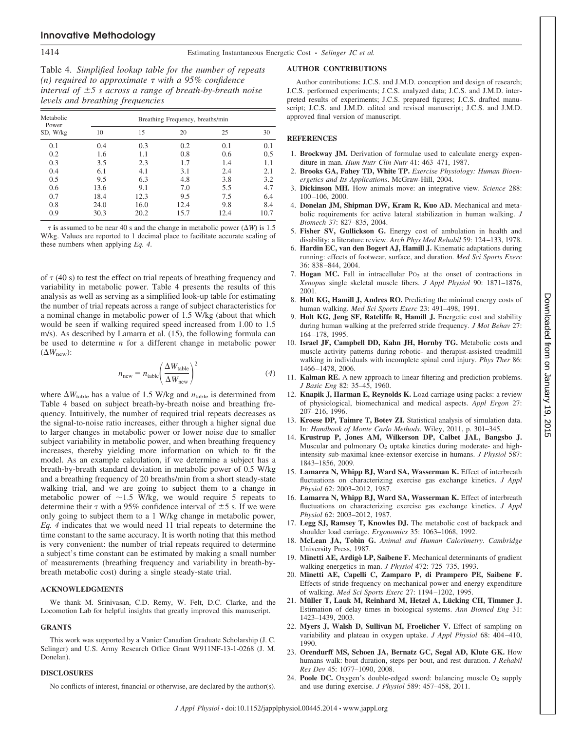Table 4. *Simplified lookup table for the number of repeats (n) required to approximate with a 95% confidence interval of 5 s across a range of breath-by-breath noise levels and breathing frequencies*

| Metabolic<br>Power<br>SD, W/kg |      | Breathing Frequency, breaths/min |      |      |      |  |  |  |  |
|--------------------------------|------|----------------------------------|------|------|------|--|--|--|--|
|                                | 10   | 15                               | 20   | 25   | 30   |  |  |  |  |
| 0.1                            | 0.4  | 0.3                              | 0.2  | 0.1  | 0.1  |  |  |  |  |
| 0.2                            | 1.6  | 1.1                              | 0.8  | 0.6  | 0.5  |  |  |  |  |
| 0.3                            | 3.5  | 2.3                              | 1.7  | 1.4  | 1.1  |  |  |  |  |
| 0.4                            | 6.1  | 4.1                              | 3.1  | 2.4  | 2.1  |  |  |  |  |
| 0.5                            | 9.5  | 6.3                              | 4.8  | 3.8  | 3.2  |  |  |  |  |
| 0.6                            | 13.6 | 9.1                              | 7.0  | 5.5  | 4.7  |  |  |  |  |
| 0.7                            | 18.4 | 12.3                             | 9.5  | 7.5  | 6.4  |  |  |  |  |
| 0.8                            | 24.0 | 16.0                             | 12.4 | 9.8  | 8.4  |  |  |  |  |
| 0.9                            | 30.3 | 20.2                             | 15.7 | 12.4 | 10.7 |  |  |  |  |

 $\tau$  is assumed to be near 40 s and the change in metabolic power ( $\Delta W$ ) is 1.5 W/kg. Values are reported to 1 decimal place to facilitate accurate scaling of these numbers when applying *Eq. 4*.

of  $\tau$  (40 s) to test the effect on trial repeats of breathing frequency and variability in metabolic power. Table 4 presents the results of this analysis as well as serving as a simplified look-up table for estimating the number of trial repeats across a range of subject characteristics for a nominal change in metabolic power of 1.5 W/kg (about that which would be seen if walking required speed increased from 1.00 to 1.5 m/s). As described by Lamarra et al. (15), the following formula can be used to determine *n* for a different change in metabolic power  $(\Delta W_{\text{new}})$ :

$$
n_{\text{new}} = n_{\text{table}} \left( \frac{\Delta W_{\text{table}}}{\Delta W_{\text{new}}} \right)^2 \tag{4}
$$

where  $\Delta W_{\text{table}}$  has a value of 1.5 W/kg and  $n_{\text{table}}$  is determined from Table 4 based on subject breath-by-breath noise and breathing frequency. Intuitively, the number of required trial repeats decreases as the signal-to-noise ratio increases, either through a higher signal due to larger changes in metabolic power or lower noise due to smaller subject variability in metabolic power, and when breathing frequency increases, thereby yielding more information on which to fit the model. As an example calculation, if we determine a subject has a breath-by-breath standard deviation in metabolic power of 0.5 W/kg and a breathing frequency of 20 breaths/min from a short steady-state walking trial, and we are going to subject them to a change in metabolic power of  $\sim$ 1.5 W/kg, we would require 5 repeats to determine their  $\tau$  with a 95% confidence interval of  $\pm$ 5 s. If we were only going to subject them to a 1 W/kg change in metabolic power, *Eq. 4* indicates that we would need 11 trial repeats to determine the time constant to the same accuracy. It is worth noting that this method is very convenient: the number of trial repeats required to determine a subject's time constant can be estimated by making a small number of measurements (breathing frequency and variability in breath-bybreath metabolic cost) during a single steady-state trial.

# **ACKNOWLEDGMENTS**

We thank M. Srinivasan, C.D. Remy, W. Felt, D.C. Clarke, and the Locomotion Lab for helpful insights that greatly improved this manuscript.

# **GRANTS**

This work was supported by a Vanier Canadian Graduate Scholarship (J. C. Selinger) and U.S. Army Research Office Grant W911NF-13-1-0268 (J. M. Donelan).

# **DISCLOSURES**

No conflicts of interest, financial or otherwise, are declared by the author(s).

### **AUTHOR CONTRIBUTIONS**

Author contributions: J.C.S. and J.M.D. conception and design of research; J.C.S. performed experiments; J.C.S. analyzed data; J.C.S. and J.M.D. interpreted results of experiments; J.C.S. prepared figures; J.C.S. drafted manuscript; J.C.S. and J.M.D. edited and revised manuscript; J.C.S. and J.M.D. approved final version of manuscript.

### **REFERENCES**

- 1. **Brockway JM.** Derivation of formulae used to calculate energy expenditure in man. *Hum Nutr Clin Nutr* 41: 463–471, 1987.
- 2. **Brooks GA, Fahey TD, White TP.** *Exercise Physiology: Human Bioenergetics and Its Applications*. McGraw-Hill, 2004.
- 3. **Dickinson MH.** How animals move: an integrative view. *Science* 288: 100 –106, 2000.
- 4. **Donelan JM, Shipman DW, Kram R, Kuo AD.** Mechanical and metabolic requirements for active lateral stabilization in human walking. *J Biomech* 37: 827–835, 2004.
- 5. **Fisher SV, Gullickson G.** Energy cost of ambulation in health and disability: a literature review. *Arch Phys Med Rehabil* 59: 124 –133, 1978.
- 6. **Hardin EC, van den Bogert AJ, Hamill J.** Kinematic adaptations during running: effects of footwear, surface, and duration. *Med Sci Sports Exerc* 36: 838 –844, 2004.
- 7. **Hogan MC.** Fall in intracellular Po<sub>2</sub> at the onset of contractions in *Xenopus* single skeletal muscle fibers. *J Appl Physiol* 90: 1871–1876, 2001.
- 8. **Holt KG, Hamill J, Andres RO.** Predicting the minimal energy costs of human walking. *Med Sci Sports Exerc* 23: 491–498, 1991.
- 9. **Holt KG, Jeng SF, Ratcliffe R, Hamill J.** Energetic cost and stability during human walking at the preferred stride frequency. *J Mot Behav* 27: 164 –178, 1995.
- 10. **Israel JF, Campbell DD, Kahn JH, Hornby TG.** Metabolic costs and muscle activity patterns during robotic- and therapist-assisted treadmill walking in individuals with incomplete spinal cord injury. *Phys Ther* 86: 1466 –1478, 2006.
- 11. **Kalman RE.** A new approach to linear filtering and prediction problems. *J Basic Eng* 82: 35–45, 1960.
- 12. **Knapik J, Harman E, Reynolds K.** Load carriage using packs: a review of physiological, biomechanical and medical aspects. *Appl Ergon* 27: 207–216, 1996.
- 13. **Kroese DP, Taimre T, Botev ZI.** Statistical analysis of simulation data. In: *Handbook of Monte Carlo Methods*. Wiley, 2011, p. 301–345.
- 14. **Krustrup P, Jones AM, Wilkerson DP, Calbet JAL, Bangsbo J.** Muscular and pulmonary  $O_2$  uptake kinetics during moderate- and highintensity sub-maximal knee-extensor exercise in humans. *J Physiol* 587: 1843–1856, 2009.
- 15. **Lamarra N, Whipp BJ, Ward SA, Wasserman K.** Effect of interbreath fluctuations on characterizing exercise gas exchange kinetics. *J Appl Physiol* 62: 2003–2012, 1987.
- 16. **Lamarra N, Whipp BJ, Ward SA, Wasserman K.** Effect of interbreath fluctuations on characterizing exercise gas exchange kinetics. *J Appl Physiol* 62: 2003–2012, 1987.
- 17. **Legg SJ, Ramsey T, Knowles DJ.** The metabolic cost of backpack and shoulder load carriage. *Ergonomics* 35: 1063–1068, 1992.
- 18. **McLean JA, Tobin G.** *Animal and Human Calorimetry*. *Cambridge* University Press, 1987.
- 19. **Minetti AE, Ardigò LP, Saibene F.** Mechanical determinants of gradient walking energetics in man. *J Physiol* 472: 725–735, 1993.
- 20. **Minetti AE, Capelli C, Zamparo P, di Prampero PE, Saibene F.** Effects of stride frequency on mechanical power and energy expenditure of walking. *Med Sci Sports Exerc* 27: 1194 –1202, 1995.
- 21. **Müller T, Lauk M, Reinhard M, Hetzel A, Lücking CH, Timmer J.** Estimation of delay times in biological systems. *Ann Biomed Eng* 31: 1423–1439, 2003.
- 22. **Myers J, Walsh D, Sullivan M, Froelicher V.** Effect of sampling on variability and plateau in oxygen uptake. *J Appl Physiol* 68: 404 –410, 1990.
- 23. **Orendurff MS, Schoen JA, Bernatz GC, Segal AD, Klute GK.** How humans walk: bout duration, steps per bout, and rest duration. *J Rehabil Res Dev* 45: 1077–1090, 2008.
- 24. **Poole DC.** Oxygen's double-edged sword: balancing muscle O<sub>2</sub> supply and use during exercise. *J Physiol* 589: 457–458, 2011.